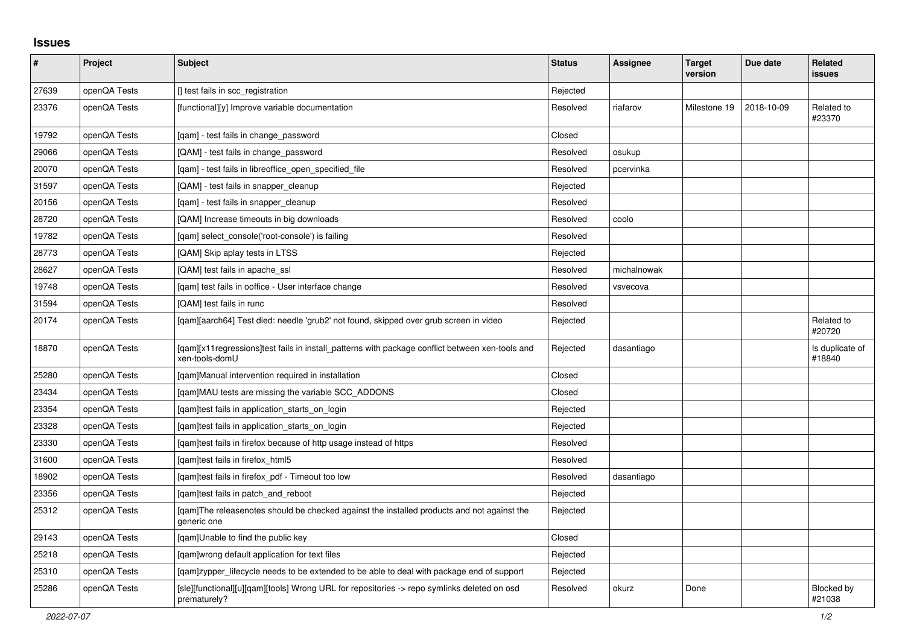## **Issues**

| #     | Project      | <b>Subject</b>                                                                                                     | <b>Status</b> | Assignee    | <b>Target</b><br>version | Due date   | <b>Related</b><br>issues    |
|-------|--------------|--------------------------------------------------------------------------------------------------------------------|---------------|-------------|--------------------------|------------|-----------------------------|
| 27639 | openQA Tests | [] test fails in scc_registration                                                                                  | Rejected      |             |                          |            |                             |
| 23376 | openQA Tests | [functional][y] Improve variable documentation                                                                     | Resolved      | riafarov    | Milestone 19             | 2018-10-09 | Related to<br>#23370        |
| 19792 | openQA Tests | [gam] - test fails in change password                                                                              | Closed        |             |                          |            |                             |
| 29066 | openQA Tests | [QAM] - test fails in change_password                                                                              | Resolved      | osukup      |                          |            |                             |
| 20070 | openQA Tests | [qam] - test fails in libreoffice_open_specified_file                                                              | Resolved      | pcervinka   |                          |            |                             |
| 31597 | openQA Tests | [QAM] - test fails in snapper cleanup                                                                              | Rejected      |             |                          |            |                             |
| 20156 | openQA Tests | [qam] - test fails in snapper_cleanup                                                                              | Resolved      |             |                          |            |                             |
| 28720 | openQA Tests | [QAM] Increase timeouts in big downloads                                                                           | Resolved      | coolo       |                          |            |                             |
| 19782 | openQA Tests | [gam] select console('root-console') is failing                                                                    | Resolved      |             |                          |            |                             |
| 28773 | openQA Tests | [QAM] Skip aplay tests in LTSS                                                                                     | Rejected      |             |                          |            |                             |
| 28627 | openQA Tests | [QAM] test fails in apache_ssl                                                                                     | Resolved      | michalnowak |                          |            |                             |
| 19748 | openQA Tests | [qam] test fails in ooffice - User interface change                                                                | Resolved      | vsvecova    |                          |            |                             |
| 31594 | openQA Tests | [QAM] test fails in runc                                                                                           | Resolved      |             |                          |            |                             |
| 20174 | openQA Tests | [gam][aarch64] Test died: needle 'grub2' not found, skipped over grub screen in video                              | Rejected      |             |                          |            | Related to<br>#20720        |
| 18870 | openQA Tests | [gam][x11 regressions]test fails in install patterns with package conflict between xen-tools and<br>xen-tools-domU | Rejected      | dasantiago  |                          |            | Is duplicate of<br>#18840   |
| 25280 | openQA Tests | [qam]Manual intervention required in installation                                                                  | Closed        |             |                          |            |                             |
| 23434 | openQA Tests | [qam]MAU tests are missing the variable SCC_ADDONS                                                                 | Closed        |             |                          |            |                             |
| 23354 | openQA Tests | [qam]test fails in application_starts_on_login                                                                     | Rejected      |             |                          |            |                             |
| 23328 | openQA Tests | [gam]test fails in application starts on login                                                                     | Rejected      |             |                          |            |                             |
| 23330 | openQA Tests | [gam]test fails in firefox because of http usage instead of https                                                  | Resolved      |             |                          |            |                             |
| 31600 | openQA Tests | [gam]test fails in firefox html5                                                                                   | Resolved      |             |                          |            |                             |
| 18902 | openQA Tests | [qam]test fails in firefox_pdf - Timeout too low                                                                   | Resolved      | dasantiago  |                          |            |                             |
| 23356 | openQA Tests | [qam]test fails in patch_and_reboot                                                                                | Rejected      |             |                          |            |                             |
| 25312 | openQA Tests | [qam]The releasenotes should be checked against the installed products and not against the<br>generic one          | Rejected      |             |                          |            |                             |
| 29143 | openQA Tests | [gam]Unable to find the public key                                                                                 | Closed        |             |                          |            |                             |
| 25218 | openQA Tests | [gam]wrong default application for text files                                                                      | Rejected      |             |                          |            |                             |
| 25310 | openQA Tests | [qam]zypper_lifecycle needs to be extended to be able to deal with package end of support                          | Rejected      |             |                          |            |                             |
| 25286 | openQA Tests | [sle][functional][u][qam][tools] Wrong URL for repositories -> repo symlinks deleted on osd<br>prematurely?        | Resolved      | okurz       | Done                     |            | <b>Blocked by</b><br>#21038 |